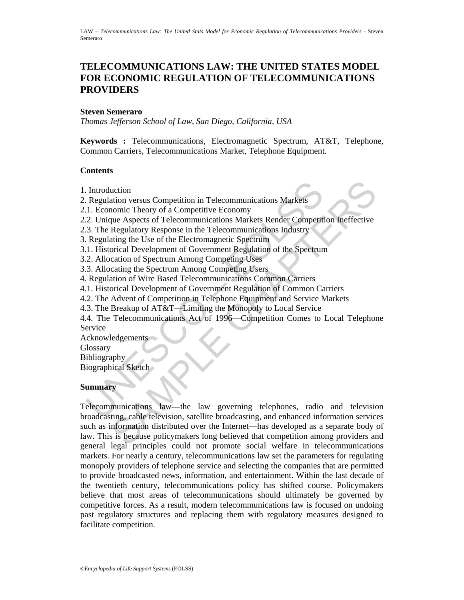# **TELECOMMUNICATIONS LAW: THE UNITED STATES MODEL FOR ECONOMIC REGULATION OF TELECOMMUNICATIONS PROVIDERS**

### **Steven Semeraro**

*Thomas Jefferson School of Law, San Diego, California, USA* 

**Keywords :** Telecommunications, Electromagnetic Spectrum, AT&T, Telephone, Common Carriers, Telecommunications Market, Telephone Equipment.

### **Contents**

- 1. Introduction
- 2. Regulation versus Competition in Telecommunications Markets
- 2.1. Economic Theory of a Competitive Economy
- 2.2. Unique Aspects of Telecommunications Markets Render Competition Ineffective
- 2.3. The Regulatory Response in the Telecommunications Industry
- 3. Regulating the Use of the Electromagnetic Spectrum
- 3.1. Historical Development of Government Regulation of the Spectrum
- 3.2. Allocation of Spectrum Among Competing Uses
- 3.3. Allocating the Spectrum Among Competing Users
- 4. Regulation of Wire Based Telecommunications Common Carriers
- 4.1. Historical Development of Government Regulation of Common Carriers
- 4.2. The Advent of Competition in Telephone Equipment and Service Markets
- 4.3. The Breakup of AT&T—Limiting the Monopoly to Local Service
- Introduction<br>
Regulation versus Competition in Telecommunications Markets<br>
1. Economic Theory of a Competitive Economy<br>
2. Unique Aspects of Telecommunications Markets Render Competit<br>
2. The Regulatory Response in the Tel 4.4. The Telecommunications Act of 1996—Competition Comes to Local Telephone Service

Acknowledgements

**Glossary** 

**Bibliography** 

Biographical Sketch

#### **Summary**

uction<br>
uction<br>
variation versus Competitive Economy<br>
incometric Theory of a Competitive Economy<br>
ince Aspects of Telecommunications Markets Render Competition Ineffective<br>
Regulatory Response in the Telecommunications Ind Telecommunications law—the law governing telephones, radio and television broadcasting, cable television, satellite broadcasting, and enhanced information services such as information distributed over the Internet—has developed as a separate body of law. This is because policymakers long believed that competition among providers and general legal principles could not promote social welfare in telecommunications markets. For nearly a century, telecommunications law set the parameters for regulating monopoly providers of telephone service and selecting the companies that are permitted to provide broadcasted news, information, and entertainment. Within the last decade of the twentieth century, telecommunications policy has shifted course. Policymakers believe that most areas of telecommunications should ultimately be governed by competitive forces. As a result, modern telecommunications law is focused on undoing past regulatory structures and replacing them with regulatory measures designed to facilitate competition.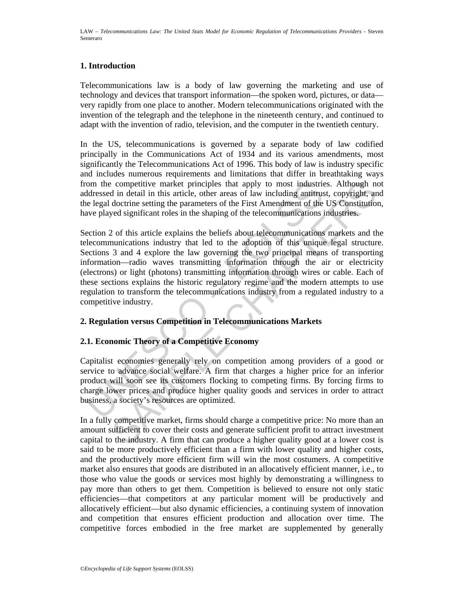## **1. Introduction**

Telecommunications law is a body of law governing the marketing and use of technology and devices that transport information—the spoken word, pictures, or data very rapidly from one place to another. Modern telecommunications originated with the invention of the telegraph and the telephone in the nineteenth century, and continued to adapt with the invention of radio, television, and the computer in the twentieth century.

In the US, telecommunications is governed by a separate body of law codified principally in the Communications Act of 1934 and its various amendments, most significantly the Telecommunications Act of 1996. This body of law is industry specific and includes numerous requirements and limitations that differ in breathtaking ways from the competitive market principles that apply to most industries. Although not addressed in detail in this article, other areas of law including antitrust, copyright, and the legal doctrine setting the parameters of the First Amendment of the US Constitution, have played significant roles in the shaping of the telecommunications industries.

follow more competitive market principles that apply to most industries<br>ddressed in detail in this article, other areas of law including antitrus<br>lee legal doctrine setting the parameters of the First Amendment of the<br>ever competitive market principles that apply to most industries. Although no<br>d in detail in this article, other areas of law including anitrust, copyright, and<br>doctrine setting the parameters of the First Amendment of the US C Section 2 of this article explains the beliefs about telecommunications markets and the telecommunications industry that led to the adoption of this unique legal structure. Sections 3 and 4 explore the law governing the two principal means of transporting information—radio waves transmitting information through the air or electricity (electrons) or light (photons) transmitting information through wires or cable. Each of these sections explains the historic regulatory regime and the modern attempts to use regulation to transform the telecommunications industry from a regulated industry to a competitive industry.

## **2. Regulation versus Competition in Telecommunications Markets**

## **2.1. Economic Theory of a Competitive Economy**

Capitalist economies generally rely on competition among providers of a good or service to advance social welfare. A firm that charges a higher price for an inferior product will soon see its customers flocking to competing firms. By forcing firms to charge lower prices and produce higher quality goods and services in order to attract business, a society's resources are optimized.

In a fully competitive market, firms should charge a competitive price: No more than an amount sufficient to cover their costs and generate sufficient profit to attract investment capital to the industry. A firm that can produce a higher quality good at a lower cost is said to be more productively efficient than a firm with lower quality and higher costs, and the productively more efficient firm will win the most costumers. A competitive market also ensures that goods are distributed in an allocatively efficient manner, i.e., to those who value the goods or services most highly by demonstrating a willingness to pay more than others to get them. Competition is believed to ensure not only static efficiencies—that competitors at any particular moment will be productively and allocatively efficient—but also dynamic efficiencies, a continuing system of innovation and competition that ensures efficient production and allocation over time. The competitive forces embodied in the free market are supplemented by generally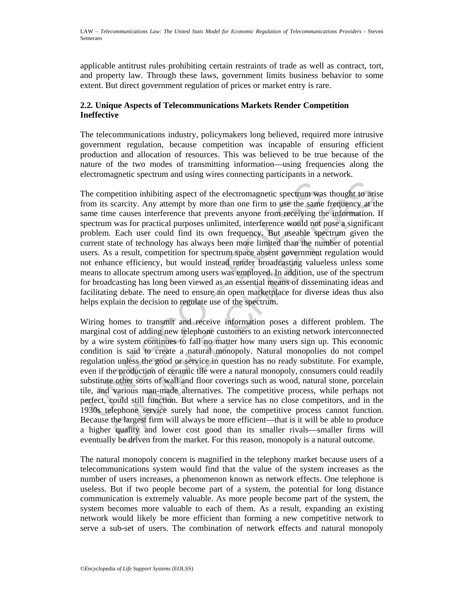applicable antitrust rules prohibiting certain restraints of trade as well as contract, tort, and property law. Through these laws, government limits business behavior to some extent. But direct government regulation of prices or market entry is rare.

## **2.2. Unique Aspects of Telecommunications Markets Render Competition Ineffective**

The telecommunications industry, policymakers long believed, required more intrusive government regulation, because competition was incapable of ensuring efficient production and allocation of resources. This was believed to be true because of the nature of the two modes of transmitting information—using frequencies along the electromagnetic spectrum and using wires connecting participants in a network.

the competition inhibiting aspect of the electromagnetic spectrum was com its scarcity. Any attempt by more than one firm to use the same time causes interference that prevents anyone from receiving the betterum was for pr The competition inhibiting aspect of the electromagnetic spectrum was thought to arise from its scarcity. Any attempt by more than one firm to use the same frequency at the same time causes interference that prevents anyone from receiving the information. If spectrum was for practical purposes unlimited, interference would not pose a significant problem. Each user could find its own frequency. But useable spectrum given the current state of technology has always been more limited than the number of potential users. As a result, competition for spectrum space absent government regulation would not enhance efficiency, but would instead render broadcasting valueless unless some means to allocate spectrum among users was employed. In addition, use of the spectrum for broadcasting has long been viewed as an essential means of disseminating ideas and facilitating debate. The need to ensure an open marketplace for diverse ideas thus also helps explain the decision to regulate use of the spectrum.

petition inhibiting aspect of the electromagnetic spectrum was thought to arisearcity. Any attempt by more than one firm to use the same frequency at the causes interference that prevents anyone from receiving the informat Wiring homes to transmit and receive information poses a different problem. The marginal cost of adding new telephone customers to an existing network interconnected by a wire system continues to fall no matter how many users sign up. This economic condition is said to create a natural monopoly. Natural monopolies do not compel regulation unless the good or service in question has no ready substitute. For example, even if the production of ceramic tile were a natural monopoly, consumers could readily substitute other sorts of wall and floor coverings such as wood, natural stone, porcelain tile, and various man-made alternatives. The competitive process, while perhaps not perfect, could still function. But where a service has no close competitors, and in the 1930s telephone service surely had none, the competitive process cannot function. Because the largest firm will always be more efficient—that is it will be able to produce a higher quality and lower cost good than its smaller rivals—smaller firms will eventually be driven from the market. For this reason, monopoly is a natural outcome.

The natural monopoly concern is magnified in the telephony market because users of a telecommunications system would find that the value of the system increases as the number of users increases, a phenomenon known as network effects. One telephone is useless. But if two people become part of a system, the potential for long distance communication is extremely valuable. As more people become part of the system, the system becomes more valuable to each of them. As a result, expanding an existing network would likely be more efficient than forming a new competitive network to serve a sub-set of users. The combination of network effects and natural monopoly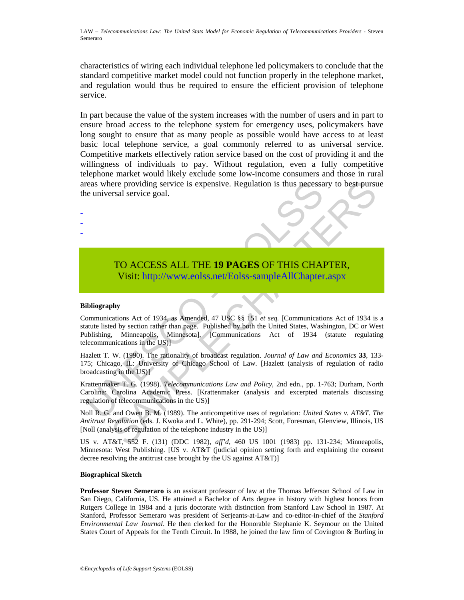characteristics of wiring each individual telephone led policymakers to conclude that the standard competitive market model could not function properly in the telephone market, and regulation would thus be required to ensure the efficient provision of telephone service.

In part because the value of the system increases with the number of users and in part to ensure broad access to the telephone system for emergency uses, policymakers have long sought to ensure that as many people as possible would have access to at least basic local telephone service, a goal commonly referred to as universal service. Competitive markets effectively ration service based on the cost of providing it and the willingness of individuals to pay. Without regulation, even a fully competitive telephone market would likely exclude some low-income consumers and those in rural areas where providing service is expensive. Regulation is thus necessary to best pursue the universal service goal.

# TO ACCESS ALL THE **19 PAGES** OF THIS CHAPTER, Visit: http://www.eolss.net/Eolss-sampleAllChapter.aspx

#### **Bibliography**

- - -

reas where providing service is expensive. Regulation is thus necessa<br>
e universal service goal.<br>
TO ACCESS ALL THE 19 PAGES OF THIS CHA<br>
Visit: http://www.colss.net/Eolss-sampleAllChapter<br>
ibliography<br>
communications Act ere providing service is expensive. Regulation is thus necessary to best pursus<br>
strail service goal.<br> **TO ACCESS ALL THE 19 PAGES OF THIS C[HAP](https://www.eolss.net/ebooklib/sc_cart.aspx?File=E6-31-02-09)TER,**<br>
Visit: http://www.eolss.net/Eolss-sample.AllChapter.aspx<br>
phy<br>
stations Communications Act of 1934, as Amended, 47 USC §§ 151 *et seq.* [Communications Act of 1934 is a statute listed by section rather than page. Published by both the United States, Washington, DC or West Publishing, Minneapolis, Minnesota], [Communications Act of 1934 (statute regulating telecommunications in the US)]

Hazlett T. W. (1990). The rationality of broadcast regulation. *Journal of Law and Economics* **33**, 133- 175; Chicago, IL: University of Chicago School of Law. [Hazlett (analysis of regulation of radio broadcasting in the US)]

Krattenmaker T. G. (1998). *Telecommunications Law and Policy*, 2nd edn., pp. 1-763; Durham, North Carolina: Carolina Academic Press. [Krattenmaker (analysis and excerpted materials discussing regulation of telecommunications in the US)]

Noll R. G. and Owen B. M. (1989). The anticompetitive uses of regulation*: United States v. AT&T. The Antitrust Revolution* (eds. J. Kwoka and L. White), pp. 291-294; Scott, Foresman, Glenview, Illinois, US [Noll (analysis of regulation of the telephone industry in the US)]

US v. AT&T, 552 F. (131) (DDC 1982), *aff'd*, 460 US 1001 (1983) pp. 131-234; Minneapolis, Minnesota: West Publishing. [US v. AT&T (judicial opinion setting forth and explaining the consent decree resolving the antitrust case brought by the US against AT&T)]

#### **Biographical Sketch**

**Professor Steven Semeraro** is an assistant professor of law at the Thomas Jefferson School of Law in San Diego, California, US. He attained a Bachelor of Arts degree in history with highest honors from Rutgers College in 1984 and a juris doctorate with distinction from Stanford Law School in 1987. At Stanford, Professor Semeraro was president of Serjeants-at-Law and co-editor-in-chief of the *Stanford Environmental Law Journal*. He then clerked for the Honorable Stephanie K. Seymour on the United States Court of Appeals for the Tenth Circuit. In 1988, he joined the law firm of Covington & Burling in